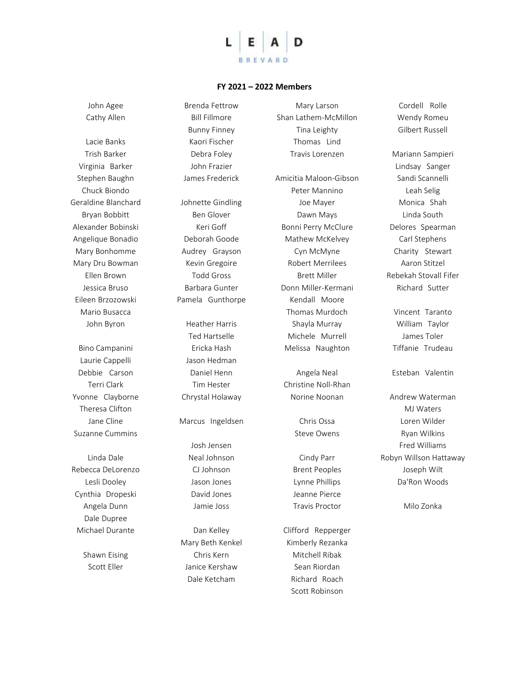

## **FY 2021 – 2022 Members**

John Agee Cathy Allen

Lacie Banks Trish Barker Virginia Barker Stephen Baughn Chuck Biondo Geraldine Blanchard Bryan Bobbitt Alexander Bobinski Angelique Bonadio Mary Bonhomme Mary Dru Bowman Ellen Brown Jessica Bruso Eileen Brzozowski Mario Busacca John Byron

Bino Campanini Laurie Cappelli Debbie Carson Terri Clark Yvonne Clayborne Theresa Clifton Jane Cline Suzanne Cummins

Linda Dale Rebecca DeLorenzo Lesli Dooley Cynthia Dropeski Angela Dunn Dale Dupree Michael Durante

> Shawn Eising Scott Eller

Bill Fillmore Bunny Finney Kaori Fischer Debra Foley John Frazier James Frederick Johnette Gindling Ben Glover Keri Goff Deborah Goode Audrey Grayson Kevin Gregoire Todd Gross Barbara Gunter Pamela Gunthorpe

Brenda Fettrow

Heather Harris Ted Hartselle Ericka Hash Jason Hedman Daniel Henn Tim Hester Chrystal Holaway

Marcus Ingeldsen

Josh Jensen Neal Johnson CJ Johnson Jason Jones David Jones Jamie Joss

Dan Kelley Mary Beth Kenkel Chris Kern Janice Kershaw Dale Ketcham

Mary Larson Shan Lathem-McMillon Tina Leighty Thomas Lind Travis Lorenzen Amicitia Maloon-Gibson Peter Mannino Joe Mayer Dawn Mays Bonni Perry McClure Mathew McKelvey Cyn McMyne Robert Merrilees Brett Miller Donn Miller-Kermani Kendall Moore Thomas Murdoch Shayla Murray Michele Murrell Melissa Naughton

Angela Neal Christine Noll-Rhan Norine Noonan

> Chris Ossa Steve Owens

Cindy Parr Brent Peoples Lynne Phillips Jeanne Pierce Travis Proctor

Clifford Repperger Kimberly Rezanka Mitchell Ribak Sean Riordan Richard Roach Scott Robinson

Cordell Rolle Wendy Romeu Gilbert Russell

Mariann Sampieri Lindsay Sanger Sandi Scannelli Leah Selig Monica Shah Linda South Delores Spearman Carl Stephens Charity Stewart Aaron Stitzel Rebekah Stovall Fifer Richard Sutter

Vincent Taranto William Taylor James Toler Tiffanie Trudeau

Esteban Valentin

Andrew Waterman MJ Waters Loren Wilder Ryan Wilkins Fred Williams Robyn Willson Hattaway Joseph Wilt Da'Ron Woods

Milo Zonka